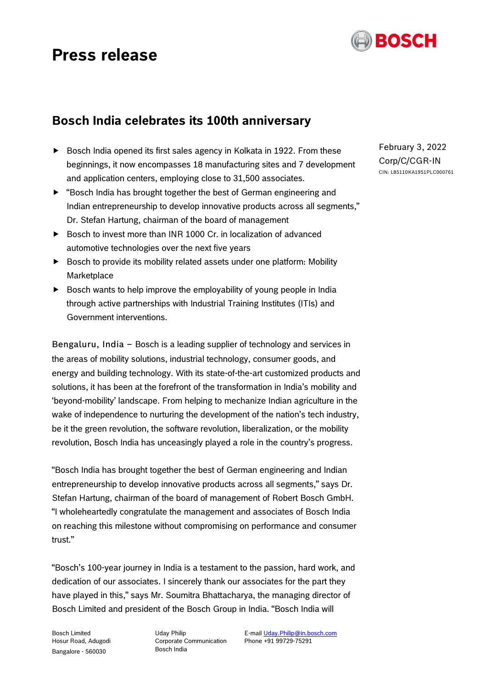# **Press release**



## **Bosch India celebrates its 100th anniversary**

- $\triangleright$  Bosch India opened its first sales agency in Kolkata in 1922. From these beginnings, it now encompasses 18 manufacturing sites and 7 development and application centers, employing close to 31,500 associates.
- "Bosch India has brought together the best of German engineering and Indian entrepreneurship to develop innovative products across all segments," Dr. Stefan Hartung, chairman of the board of management
- ▶ Bosch to invest more than INR 1000 Cr. in localization of advanced automotive technologies over the next five years
- $\triangleright$  Bosch to provide its mobility related assets under one platform: Mobility Marketplace
- $\triangleright$  Bosch wants to help improve the employability of young people in India through active partnerships with Industrial Training Institutes (ITIs) and Government interventions.

Bengaluru, India – Bosch is a leading supplier of technology and services in the areas of mobility solutions, industrial technology, consumer goods, and energy and building technology. With its state-of-the-art customized products and solutions, it has been at the forefront of the transformation in India's mobility and 'beyond-mobility' landscape. From helping to mechanize Indian agriculture in the wake of independence to nurturing the development of the nation's tech industry, be it the green revolution, the software revolution, liberalization, or the mobility revolution, Bosch India has unceasingly played a role in the country's progress.

"Bosch India has brought together the best of German engineering and Indian entrepreneurship to develop innovative products across all segments," says Dr. Stefan Hartung, chairman of the board of management of Robert Bosch GmbH. "I wholeheartedly congratulate the management and associates of Bosch India on reaching this milestone without compromising on performance and consumer trust."

"Bosch's 100-year journey in India is a testament to the passion, hard work, and dedication of our associates. I sincerely thank our associates for the part they have played in this," says Mr. Soumitra Bhattacharya, the managing director of Bosch Limited and president of the Bosch Group in India. "Bosch India will

Bosch Limited Hosur Road, Adugodi Bangalore - 560030

Uday Philip Corporate Communication Bosch India

E-mai[l Uday.Philip@in.bosch.com](mailto:Uday.Philip@in.bosch.com) Phone +91 99729-75291

February 3, 2022 Corp/C/CGR-IN CIN: L85110KA1951PLC000761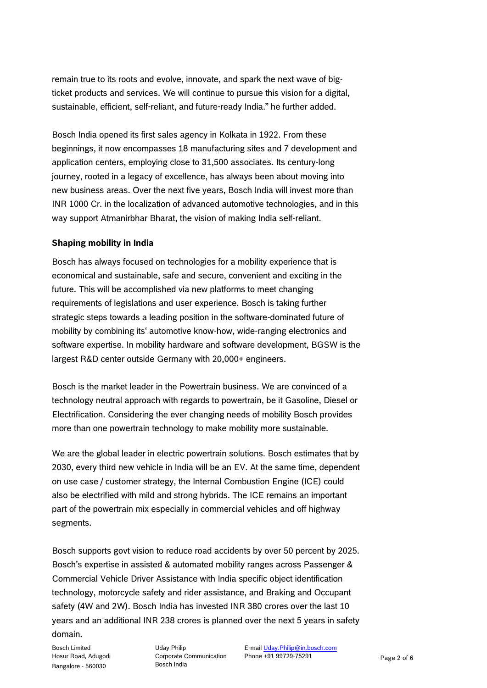remain true to its roots and evolve, innovate, and spark the next wave of bigticket products and services. We will continue to pursue this vision for a digital, sustainable, efficient, self-reliant, and future-ready India." he further added.

Bosch India opened its first sales agency in Kolkata in 1922. From these beginnings, it now encompasses 18 manufacturing sites and 7 development and application centers, employing close to 31,500 associates. Its century-long journey, rooted in a legacy of excellence, has always been about moving into new business areas. Over the next five years, Bosch India will invest more than INR 1000 Cr. in the localization of advanced automotive technologies, and in this way support Atmanirbhar Bharat, the vision of making India self-reliant.

### **Shaping mobility in India**

Bosch has always focused on technologies for a mobility experience that is economical and sustainable, safe and secure, convenient and exciting in the future. This will be accomplished via new platforms to meet changing requirements of legislations and user experience. Bosch is taking further strategic steps towards a leading position in the software-dominated future of mobility by combining its' automotive know-how, wide-ranging electronics and software expertise. In mobility hardware and software development, BGSW is the largest R&D center outside Germany with 20,000+ engineers.

Bosch is the market leader in the Powertrain business. We are convinced of a technology neutral approach with regards to powertrain, be it Gasoline, Diesel or Electrification. Considering the ever changing needs of mobility Bosch provides more than one powertrain technology to make mobility more sustainable.

We are the global leader in electric powertrain solutions. Bosch estimates that by 2030, every third new vehicle in India will be an EV. At the same time, dependent on use case / customer strategy, the Internal Combustion Engine (ICE) could also be electrified with mild and strong hybrids. The ICE remains an important part of the powertrain mix especially in commercial vehicles and off highway segments.

Bosch supports govt vision to reduce road accidents by over 50 percent by 2025. Bosch's expertise in assisted & automated mobility ranges across Passenger & Commercial Vehicle Driver Assistance with India specific object identification technology, motorcycle safety and rider assistance, and Braking and Occupant safety (4W and 2W). Bosch India has invested INR 380 crores over the last 10 years and an additional INR 238 crores is planned over the next 5 years in safety domain.

Bosch Limited Hosur Road, Adugodi Bangalore - 560030

Uday Philip Corporate Communication Bosch India

E-mai[l Uday.Philip@in.bosch.com](mailto:Uday.Philip@in.bosch.com) Phone +91 99729-75291 Page 2 of 6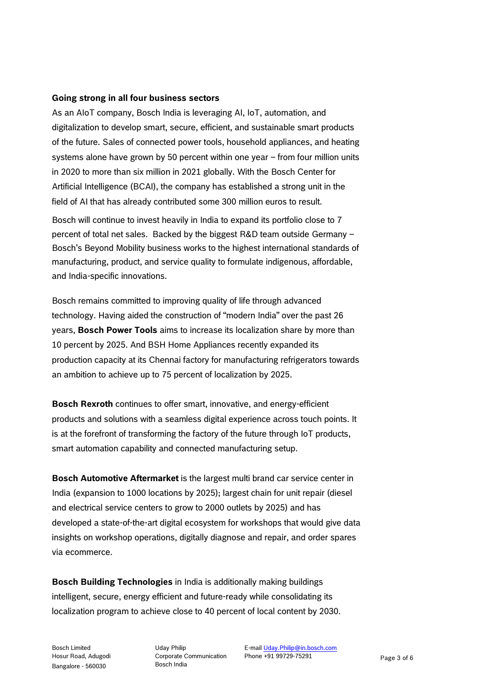#### **Going strong in all four business sectors**

As an AIoT company, Bosch India is leveraging AI, IoT, automation, and digitalization to develop smart, secure, efficient, and sustainable smart products of the future. Sales of connected power tools, household appliances, and heating systems alone have grown by 50 percent within one year – from four million units in 2020 to more than six million in 2021 globally. With the Bosch Center for Artificial Intelligence (BCAI), the company has established a strong unit in the field of AI that has already contributed some 300 million euros to result.

Bosch will continue to invest heavily in India to expand its portfolio close to 7 percent of total net sales. Backed by the biggest R&D team outside Germany – Bosch's Beyond Mobility business works to the highest international standards of manufacturing, product, and service quality to formulate indigenous, affordable, and India-specific innovations.

Bosch remains committed to improving quality of life through advanced technology. Having aided the construction of "modern India" over the past 26 years, **Bosch Power Tools** aims to increase its localization share by more than 10 percent by 2025. And BSH Home Appliances recently expanded its production capacity at its Chennai factory for manufacturing refrigerators towards an ambition to achieve up to 75 percent of localization by 2025.

**Bosch Rexroth** continues to offer smart, innovative, and energy-efficient products and solutions with a seamless digital experience across touch points. It is at the forefront of transforming the factory of the future through IoT products, smart automation capability and connected manufacturing setup.

**Bosch Automotive Aftermarket** is the largest multi brand car service center in India (expansion to 1000 locations by 2025); largest chain for unit repair (diesel and electrical service centers to grow to 2000 outlets by 2025) and has developed a state-of-the-art digital ecosystem for workshops that would give data insights on workshop operations, digitally diagnose and repair, and order spares via ecommerce.

**Bosch Building Technologies** in India is additionally making buildings intelligent, secure, energy efficient and future-ready while consolidating its localization program to achieve close to 40 percent of local content by 2030.

Uday Philip Corporate Communication Bosch India

E-mai[l Uday.Philip@in.bosch.com](mailto:Uday.Philip@in.bosch.com) Phone +91 99729-75291 Page 3 of 6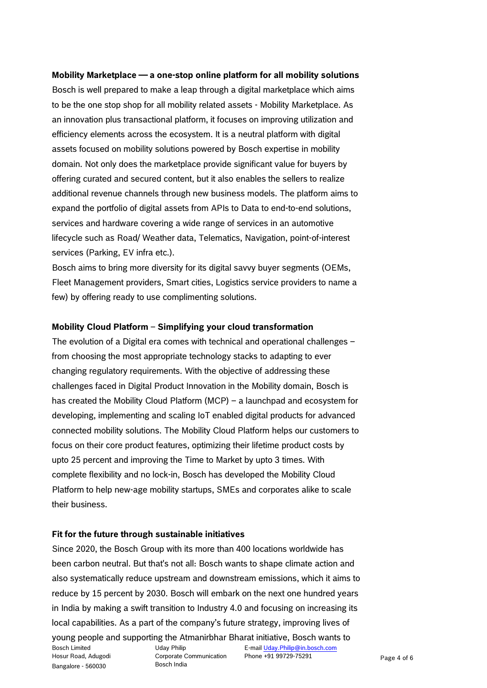**Mobility Marketplace — a one-stop online platform for all mobility solutions** Bosch is well prepared to make a leap through a digital marketplace which aims to be the one stop shop for all mobility related assets - Mobility Marketplace. As an innovation plus transactional platform, it focuses on improving utilization and efficiency elements across the ecosystem. It is a neutral platform with digital assets focused on mobility solutions powered by Bosch expertise in mobility domain. Not only does the marketplace provide significant value for buyers by offering curated and secured content, but it also enables the sellers to realize additional revenue channels through new business models. The platform aims to expand the portfolio of digital assets from APIs to Data to end-to-end solutions, services and hardware covering a wide range of services in an automotive lifecycle such as Road/ Weather data, Telematics, Navigation, point-of-interest services (Parking, EV infra etc.).

Bosch aims to bring more diversity for its digital savvy buyer segments (OEMs, Fleet Management providers, Smart cities, Logistics service providers to name a few) by offering ready to use complimenting solutions.

#### **Mobility Cloud Platform** – **Simplifying your cloud transformation**

The evolution of a Digital era comes with technical and operational challenges – from choosing the most appropriate technology stacks to adapting to ever changing regulatory requirements. With the objective of addressing these challenges faced in Digital Product Innovation in the Mobility domain, Bosch is has created the Mobility Cloud Platform (MCP) – a launchpad and ecosystem for developing, implementing and scaling IoT enabled digital products for advanced connected mobility solutions. The Mobility Cloud Platform helps our customers to focus on their core product features, optimizing their lifetime product costs by upto 25 percent and improving the Time to Market by upto 3 times. With complete flexibility and no lock-in, Bosch has developed the Mobility Cloud Platform to help new-age mobility startups, SMEs and corporates alike to scale their business.

#### **Fit for the future through sustainable initiatives**

Since 2020, the Bosch Group with its more than 400 locations worldwide has been carbon neutral. But that's not all: Bosch wants to shape climate action and also systematically reduce upstream and downstream emissions, which it aims to reduce by 15 percent by 2030. Bosch will embark on the next one hundred years in India by making a swift transition to Industry 4.0 and focusing on increasing its local capabilities. As a part of the company's future strategy, improving lives of

Bosch Limited Hosur Road, Adugodi Bangalore - 560030 Uday Philip Corporate Communication Bosch India E-mai[l Uday.Philip@in.bosch.com](mailto:Uday.Philip@in.bosch.com) Phone +91 99729-75291 Page 4 of 6 young people and supporting the Atmanirbhar Bharat initiative, Bosch wants to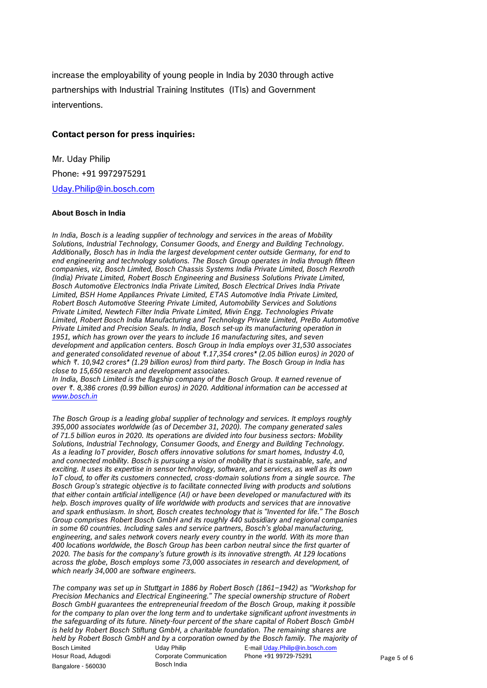increase the employability of young people in India by 2030 through active partnerships with Industrial Training Institutes (ITIs) and Government interventions.

#### **Contact person for press inquiries:**

Mr. Uday Philip Phone: +91 9972975291 [Uday.Philip@in.bosch.com](mailto:Uday.Philip@in.bosch.com)

#### **About Bosch in India**

*In India, Bosch is a leading supplier of technology and services in the areas of Mobility Solutions, Industrial Technology, Consumer Goods, and Energy and Building Technology. Additionally, Bosch has in India the largest development center outside Germany, for end to end engineering and technology solutions. The Bosch Group operates in India through fifteen companies, viz, Bosch Limited, Bosch Chassis Systems India Private Limited, Bosch Rexroth (India) Private Limited, Robert Bosch Engineering and Business Solutions Private Limited, Bosch Automotive Electronics India Private Limited, Bosch Electrical Drives India Private Limited, BSH Home Appliances Private Limited, ETAS Automotive India Private Limited, Robert Bosch Automotive Steering Private Limited, Automobility Services and Solutions Private Limited, Newtech Filter India Private Limited, Mivin Engg. Technologies Private Limited, Robert Bosch India Manufacturing and Technology Private Limited, PreBo Automotive Private Limited and Precision Seals. In India, Bosch set-up its manufacturing operation in*  1951, which has grown over the years to include 16 manufacturing sites, and seven *development and application centers. Bosch Group in India employs over 31,530 associates and generated consolidated revenue of about ₨.17,354 crores\* (2.05 billion euros) in 2020 of*  which ₹. 10,942 crores<sup>\*</sup> (1.29 billion euros) from third party. The Bosch Group in India has *close to 15,650 research and development associates.*

*In India, Bosch Limited is the flagship company of the Bosch Group. It earned revenue of over ₨. 8,386 crores (0.99 billion euros) in 2020. Additional information can be accessed at [www.bosch.in](http://www.bosch.in/)*

*The Bosch Group is a leading global supplier of technology and services. It employs roughly 395,000 associates worldwide (as of December 31, 2020). The company generated sales of 71.5 billion euros in 2020. Its operations are divided into four business sectors: Mobility Solutions, Industrial Technology, Consumer Goods, and Energy and Building Technology. As a leading IoT provider, Bosch offers innovative solutions for smart homes, Industry 4.0, and connected mobility. Bosch is pursuing a vision of mobility that is sustainable, safe, and exciting. It uses its expertise in sensor technology, software, and services, as well as its own IoT cloud, to offer its customers connected, cross-domain solutions from a single source. The Bosch Group's strategic objective is to facilitate connected living with products and solutions that either contain artificial intelligence (AI) or have been developed or manufactured with its help. Bosch improves quality of life worldwide with products and services that are innovative and spark enthusiasm. In short, Bosch creates technology that is "Invented for life." The Bosch Group comprises Robert Bosch GmbH and its roughly 440 subsidiary and regional companies in some 60 countries. Including sales and service partners, Bosch's global manufacturing, engineering, and sales network covers nearly every country in the world. With its more than 400 locations worldwide, the Bosch Group has been carbon neutral since the first quarter of 2020. The basis for the company's future growth is its innovative strength. At 129 locations across the globe, Bosch employs some 73,000 associates in research and development, of which nearly 34,000 are software engineers.*

*The company was set up in Stuttgart in 1886 by Robert Bosch (1861–1942) as "Workshop for Precision Mechanics and Electrical Engineering." The special ownership structure of Robert Bosch GmbH guarantees the entrepreneurial freedom of the Bosch Group, making it possible*  for the company to plan over the long term and to undertake significant upfront investments in *the safeguarding of its future. Ninety-four percent of the share capital of Robert Bosch GmbH*  is held by Robert Bosch Stiftung GmbH, a charitable foundation. The remaining shares are *held by Robert Bosch GmbH and by a corporation owned by the Bosch family. The majority of* 

Bosch Limited Hosur Road, Adugodi Bangalore - 560030

Uday Philip Corporate Communication Bosch India

E-mai[l Uday.Philip@in.bosch.com](mailto:Uday.Philip@in.bosch.com) Phone +91 99729-75291 Page 5 of 6